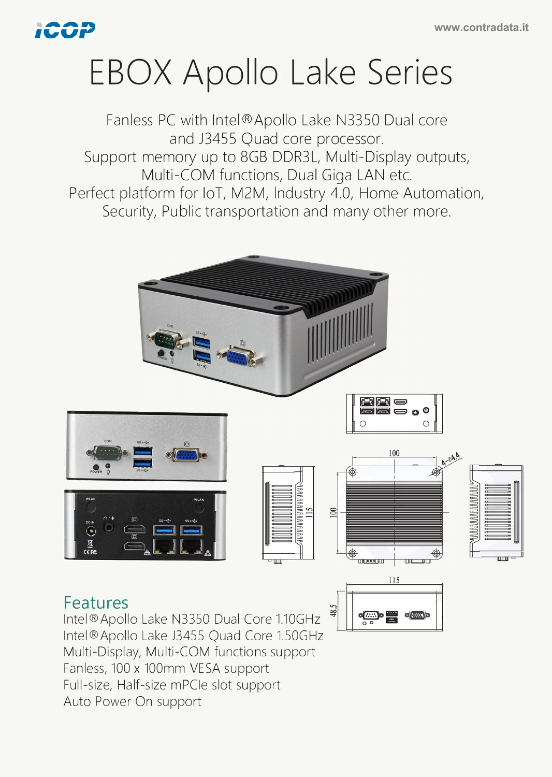

## **EBOX Apollo Lake Series**

Fanless PC with Intel® Apollo Lake N3350 Dual core and J3455 Quad core processor. Support memory up to 8GB DDR3L, Multi-Display outputs, Multi-COM functions, Dual Giga LAN etc. Perfect platform for loT, M2M, lndustry 4.0, Home Automation, Security, Public transportation and many other more.



**�lifi!il omo oo Ei!I** 

**Features**<br>| Thatal® Apollo Lake N2250 Dual Core 110CHz **Features**<br>Intel®Apollo Lake N3350 Dual Core 1.10GHz lntel ® Apollo Lake J3455 Quad Core 1.50GHz Multi-Display, Multi-COM functions support Fanless, 100 x 100mm VESA support Full-size, Half-size mPCle slot support Auto Power On support